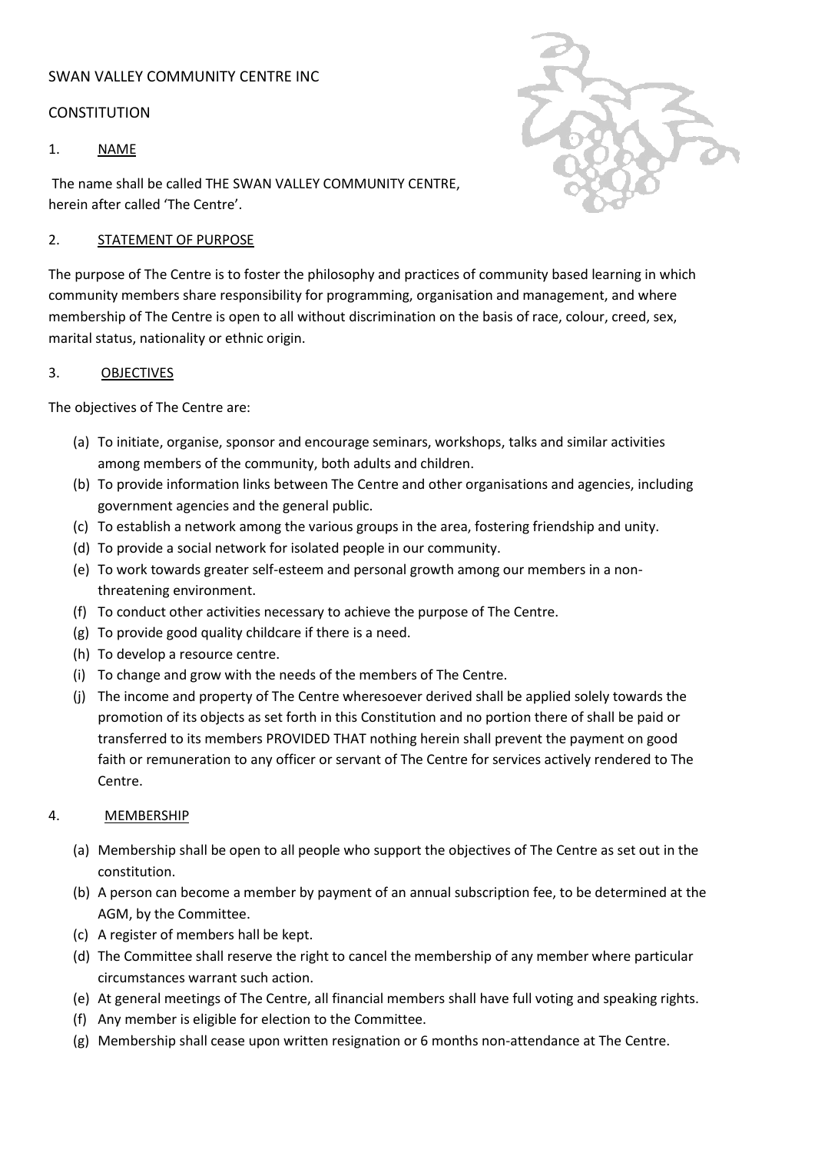# SWAN VALLEY COMMUNITY CENTRE INC

#### **CONSTITUTION**

#### 1. NAME

The name shall be called THE SWAN VALLEY COMMUNITY CENTRE, herein after called 'The Centre'.

#### 2. STATEMENT OF PURPOSE

The purpose of The Centre is to foster the philosophy and practices of community based learning in which community members share responsibility for programming, organisation and management, and where membership of The Centre is open to all without discrimination on the basis of race, colour, creed, sex, marital status, nationality or ethnic origin.

#### 3. OBJECTIVES

The objectives of The Centre are:

- (a) To initiate, organise, sponsor and encourage seminars, workshops, talks and similar activities among members of the community, both adults and children.
- (b) To provide information links between The Centre and other organisations and agencies, including government agencies and the general public.
- (c) To establish a network among the various groups in the area, fostering friendship and unity.
- (d) To provide a social network for isolated people in our community.
- (e) To work towards greater self-esteem and personal growth among our members in a nonthreatening environment.
- (f) To conduct other activities necessary to achieve the purpose of The Centre.
- (g) To provide good quality childcare if there is a need.
- (h) To develop a resource centre.
- (i) To change and grow with the needs of the members of The Centre.
- (j) The income and property of The Centre wheresoever derived shall be applied solely towards the promotion of its objects as set forth in this Constitution and no portion there of shall be paid or transferred to its members PROVIDED THAT nothing herein shall prevent the payment on good faith or remuneration to any officer or servant of The Centre for services actively rendered to The Centre.

# 4. MEMBERSHIP

- (a) Membership shall be open to all people who support the objectives of The Centre as set out in the constitution.
- (b) A person can become a member by payment of an annual subscription fee, to be determined at the AGM, by the Committee.
- (c) A register of members hall be kept.
- (d) The Committee shall reserve the right to cancel the membership of any member where particular circumstances warrant such action.
- (e) At general meetings of The Centre, all financial members shall have full voting and speaking rights.
- (f) Any member is eligible for election to the Committee.
- (g) Membership shall cease upon written resignation or 6 months non-attendance at The Centre.

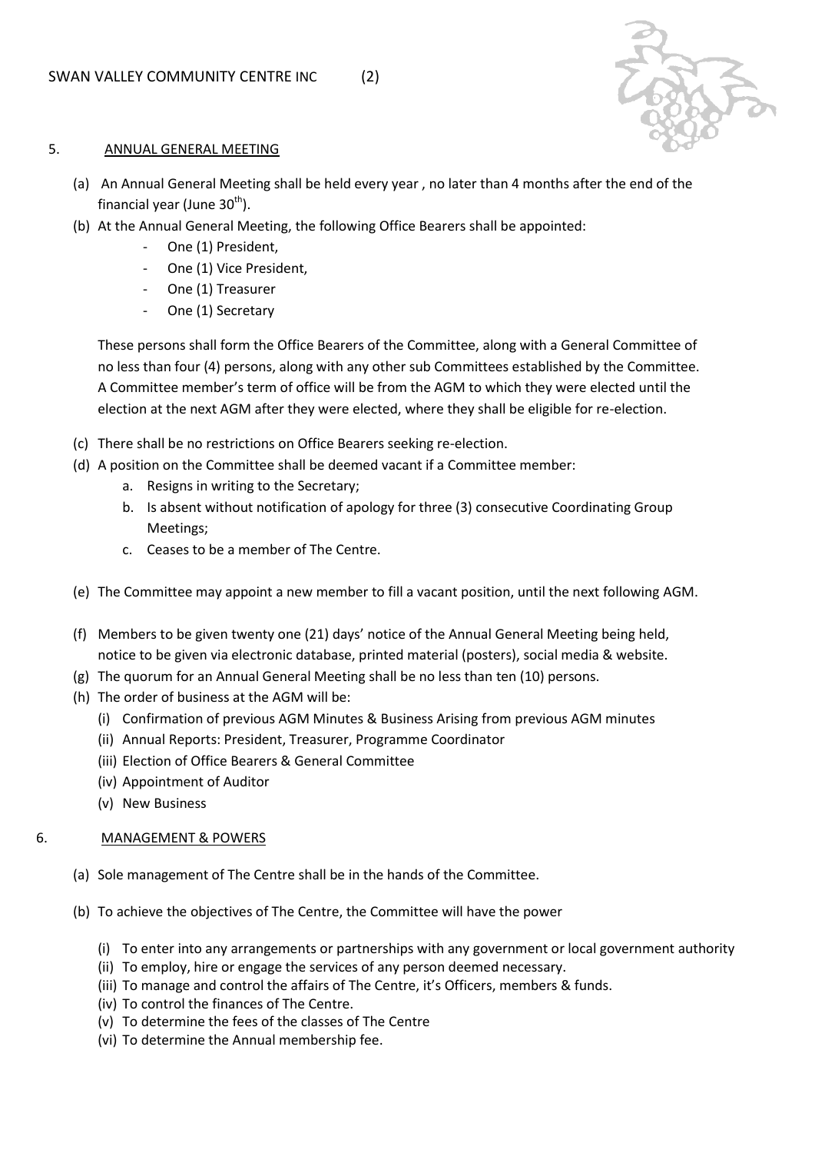

#### 5. ANNUAL GENERAL MEETING

- (a) An Annual General Meeting shall be held every year , no later than 4 months after the end of the financial year (June  $30<sup>th</sup>$ ).
- (b) At the Annual General Meeting, the following Office Bearers shall be appointed:
	- One (1) President,
	- One (1) Vice President,
	- One (1) Treasurer
	- One (1) Secretary

These persons shall form the Office Bearers of the Committee, along with a General Committee of no less than four (4) persons, along with any other sub Committees established by the Committee. A Committee member's term of office will be from the AGM to which they were elected until the election at the next AGM after they were elected, where they shall be eligible for re-election.

- (c) There shall be no restrictions on Office Bearers seeking re-election.
- (d) A position on the Committee shall be deemed vacant if a Committee member:
	- a. Resigns in writing to the Secretary;
	- b. Is absent without notification of apology for three (3) consecutive Coordinating Group Meetings;
	- c. Ceases to be a member of The Centre.
- (e) The Committee may appoint a new member to fill a vacant position, until the next following AGM.
- (f) Members to be given twenty one (21) days' notice of the Annual General Meeting being held, notice to be given via electronic database, printed material (posters), social media & website.
- (g) The quorum for an Annual General Meeting shall be no less than ten (10) persons.
- (h) The order of business at the AGM will be:
	- (i) Confirmation of previous AGM Minutes & Business Arising from previous AGM minutes
	- (ii) Annual Reports: President, Treasurer, Programme Coordinator
	- (iii) Election of Office Bearers & General Committee
	- (iv) Appointment of Auditor
	- (v) New Business

# 6. MANAGEMENT & POWERS

- (a) Sole management of The Centre shall be in the hands of the Committee.
- (b) To achieve the objectives of The Centre, the Committee will have the power
	- (i) To enter into any arrangements or partnerships with any government or local government authority
	- (ii) To employ, hire or engage the services of any person deemed necessary.
	- (iii) To manage and control the affairs of The Centre, it's Officers, members & funds.
	- (iv) To control the finances of The Centre.
	- (v) To determine the fees of the classes of The Centre
	- (vi) To determine the Annual membership fee.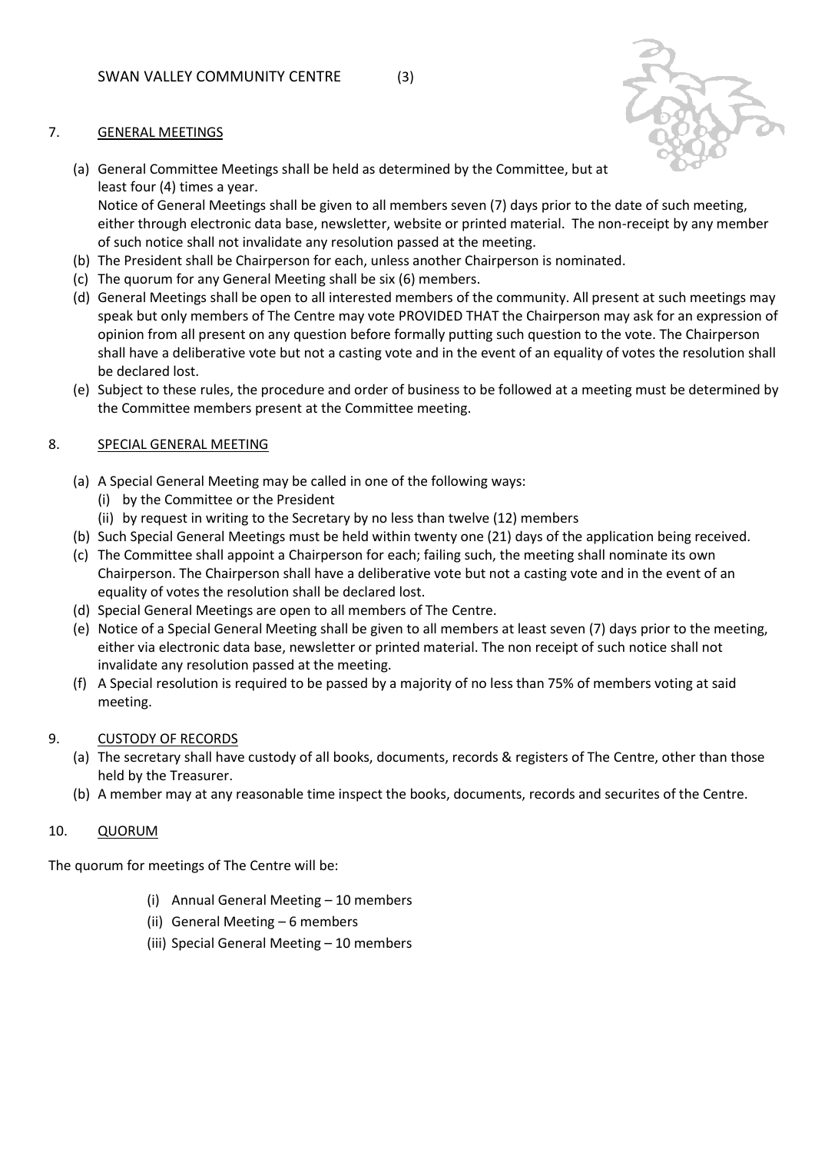## 7. GENERAL MEETINGS

(a) General Committee Meetings shall be held as determined by the Committee, but at least four (4) times a year.

Notice of General Meetings shall be given to all members seven (7) days prior to the date of such meeting, either through electronic data base, newsletter, website or printed material. The non-receipt by any member of such notice shall not invalidate any resolution passed at the meeting.

- (b) The President shall be Chairperson for each, unless another Chairperson is nominated.
- (c) The quorum for any General Meeting shall be six (6) members.
- (d) General Meetings shall be open to all interested members of the community. All present at such meetings may speak but only members of The Centre may vote PROVIDED THAT the Chairperson may ask for an expression of opinion from all present on any question before formally putting such question to the vote. The Chairperson shall have a deliberative vote but not a casting vote and in the event of an equality of votes the resolution shall be declared lost.
- (e) Subject to these rules, the procedure and order of business to be followed at a meeting must be determined by the Committee members present at the Committee meeting.

# 8. SPECIAL GENERAL MEETING

- (a) A Special General Meeting may be called in one of the following ways:
	- (i) by the Committee or the President
	- (ii) by request in writing to the Secretary by no less than twelve (12) members
- (b) Such Special General Meetings must be held within twenty one (21) days of the application being received.
- (c) The Committee shall appoint a Chairperson for each; failing such, the meeting shall nominate its own Chairperson. The Chairperson shall have a deliberative vote but not a casting vote and in the event of an equality of votes the resolution shall be declared lost.
- (d) Special General Meetings are open to all members of The Centre.
- (e) Notice of a Special General Meeting shall be given to all members at least seven (7) days prior to the meeting, either via electronic data base, newsletter or printed material. The non receipt of such notice shall not invalidate any resolution passed at the meeting.
- (f) A Special resolution is required to be passed by a majority of no less than 75% of members voting at said meeting.

#### 9. CUSTODY OF RECORDS

- (a) The secretary shall have custody of all books, documents, records & registers of The Centre, other than those held by the Treasurer.
- (b) A member may at any reasonable time inspect the books, documents, records and securites of the Centre.

#### 10. QUORUM

The quorum for meetings of The Centre will be:

- (i) Annual General Meeting 10 members
- (ii) General Meeting 6 members
- (iii) Special General Meeting 10 members